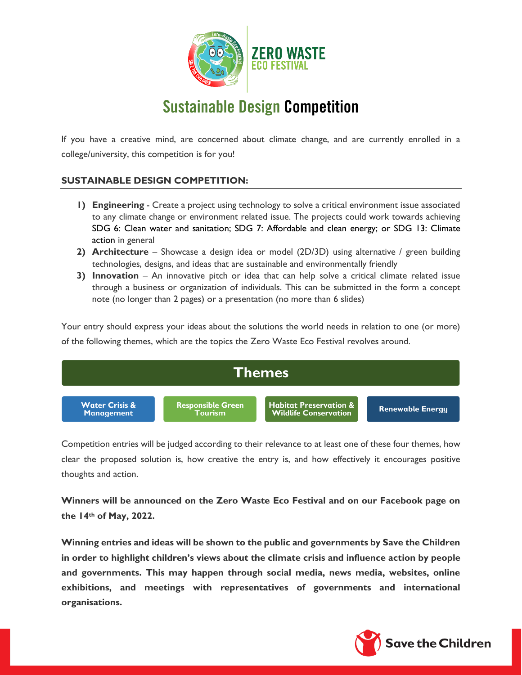

# Sustainable Design Competition

If you have a creative mind, are concerned about climate change, and are currently enrolled in a college/university, this competition is for you!

## **SUSTAINABLE DESIGN COMPETITION:**

- **1) Engineering** Create a project using technology to solve a critical environment issue associated to any climate change or environment related issue. The projects could work towards achieving SDG 6: Clean water and sanitation; SDG 7: Affordable and clean energy; or SDG 13: Climate action in general
- **2) Architecture**  Showcase a design idea or model (2D/3D) using alternative / green building technologies, designs, and ideas that are sustainable and environmentally friendly
- **3) Innovation**  An innovative pitch or idea that can help solve a critical climate related issue through a business or organization of individuals. This can be submitted in the form a concept note (no longer than 2 pages) or a presentation (no more than 6 slides)

Your entry should express your ideas about the solutions the world needs in relation to one (or more) of the following themes, which are the topics the Zero Waste Eco Festival revolves around.



Competition entries will be judged according to their relevance to at least one of these four themes, how clear the proposed solution is, how creative the entry is, and how effectively it encourages positive thoughts and action.

**Winners will be announced on the Zero Waste Eco Festival and on our Facebook page on the 14th of May, 2022.** 

**Winning entries and ideas will be shown to the public and governments by Save the Children in order to highlight children's views about the climate crisis and influence action by people and governments. This may happen through social media, news media, websites, online exhibitions, and meetings with representatives of governments and international organisations.** 

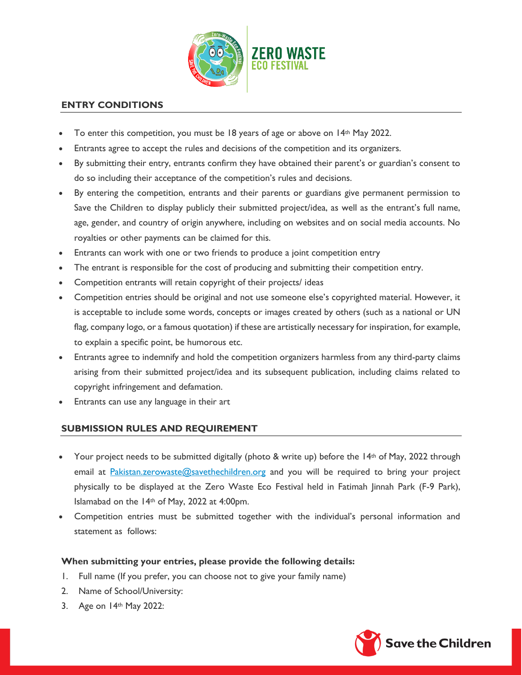

### **ENTRY CONDITIONS**

- To enter this competition, you must be 18 years of age or above on 14th May 2022.
- Entrants agree to accept the rules and decisions of the competition and its organizers.
- By submitting their entry, entrants confirm they have obtained their parent's or guardian's consent to do so including their acceptance of the competition's rules and decisions.
- By entering the competition, entrants and their parents or guardians give permanent permission to Save the Children to display publicly their submitted project/idea, as well as the entrant's full name, age, gender, and country of origin anywhere, including on websites and on social media accounts. No royalties or other payments can be claimed for this.
- Entrants can work with one or two friends to produce a joint competition entry
- The entrant is responsible for the cost of producing and submitting their competition entry.
- Competition entrants will retain copyright of their projects/ ideas
- Competition entries should be original and not use someone else's copyrighted material. However, it is acceptable to include some words, concepts or images created by others (such as a national or UN flag, company logo, or a famous quotation) if these are artistically necessary for inspiration, for example, to explain a specific point, be humorous etc.
- Entrants agree to indemnify and hold the competition organizers harmless from any third-party claims arising from their submitted project/idea and its subsequent publication, including claims related to copyright infringement and defamation.
- Entrants can use any language in their art

#### **SUBMISSION RULES AND REQUIREMENT**

- Your project needs to be submitted digitally (photo & write up) before the  $14<sup>th</sup>$  of May, 2022 through email at Pakistan.zerowaste@savethechildren.org and you will be required to bring your project physically to be displayed at the Zero Waste Eco Festival held in Fatimah Jinnah Park (F-9 Park), Islamabad on the 14th of May, 2022 at 4:00pm.
- Competition entries must be submitted together with the individual's personal information and statement as follows:

#### **When submitting your entries, please provide the following details:**

- 1. Full name (If you prefer, you can choose not to give your family name)
- 2. Name of School/University:
- 3. Age on 14th May 2022: